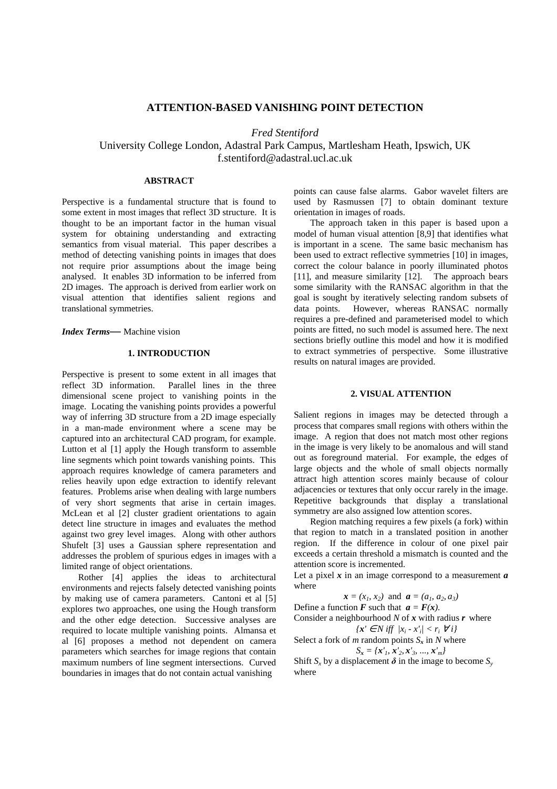# **ATTENTION-BASED VANISHING POINT DETECTION**

*Fred Stentiford* 

University College London, Adastral Park Campus, Martlesham Heath, Ipswich, UK f.stentiford@adastral.ucl.ac.uk

## **ABSTRACT**

Perspective is a fundamental structure that is found to some extent in most images that reflect 3D structure. It is thought to be an important factor in the human visual system for obtaining understanding and extracting semantics from visual material. This paper describes a method of detecting vanishing points in images that does not require prior assumptions about the image being analysed. It enables 3D information to be inferred from 2D images. The approach is derived from earlier work on visual attention that identifies salient regions and translational symmetries.

#### *Index Terms***—** Machine vision

## **1. INTRODUCTION**

Perspective is present to some extent in all images that reflect 3D information. Parallel lines in the three dimensional scene project to vanishing points in the image. Locating the vanishing points provides a powerful way of inferring 3D structure from a 2D image especially in a man-made environment where a scene may be captured into an architectural CAD program, for example. Lutton et al [1] apply the Hough transform to assemble line segments which point towards vanishing points. This approach requires knowledge of camera parameters and relies heavily upon edge extraction to identify relevant features. Problems arise when dealing with large numbers of very short segments that arise in certain images. McLean et al [2] cluster gradient orientations to again detect line structure in images and evaluates the method against two grey level images. Along with other authors Shufelt [3] uses a Gaussian sphere representation and addresses the problem of spurious edges in images with a limited range of object orientations.

Rother [4] applies the ideas to architectural environments and rejects falsely detected vanishing points by making use of camera parameters. Cantoni et al [5] explores two approaches, one using the Hough transform and the other edge detection. Successive analyses are required to locate multiple vanishing points. Almansa et al [6] proposes a method not dependent on camera parameters which searches for image regions that contain maximum numbers of line segment intersections. Curved boundaries in images that do not contain actual vanishing

points can cause false alarms. Gabor wavelet filters are used by Rasmussen [7] to obtain dominant texture orientation in images of roads.

The approach taken in this paper is based upon a model of human visual attention [8,9] that identifies what is important in a scene. The same basic mechanism has been used to extract reflective symmetries [10] in images, correct the colour balance in poorly illuminated photos [11], and measure similarity [12]. The approach bears some similarity with the RANSAC algorithm in that the goal is sought by iteratively selecting random subsets of data points. However, whereas RANSAC normally requires a pre-defined and parameterised model to which points are fitted, no such model is assumed here. The next sections briefly outline this model and how it is modified to extract symmetries of perspective. Some illustrative results on natural images are provided.

## **2. VISUAL ATTENTION**

Salient regions in images may be detected through a process that compares small regions with others within the image. A region that does not match most other regions in the image is very likely to be anomalous and will stand out as foreground material. For example, the edges of large objects and the whole of small objects normally attract high attention scores mainly because of colour adjacencies or textures that only occur rarely in the image. Repetitive backgrounds that display a translational symmetry are also assigned low attention scores.

Region matching requires a few pixels (a fork) within that region to match in a translated position in another region. If the difference in colour of one pixel pair exceeds a certain threshold a mismatch is counted and the attention score is incremented.

Let a pixel  $x$  in an image correspond to a measurement  $a$ where

 $x = (x_1, x_2)$  and  $a = (a_1, a_2, a_3)$ 

Define a function  $\vec{F}$  such that  $\vec{a} = \vec{F}(\vec{x})$ . Consider a neighbourhood *N* of *x* with radius *r* where

 ${x' \in N \text{ iff } |x_i - x'_i| < r_i \ \forall i}$ 

Select a fork of *m* random points  $S<sub>x</sub>$  in *N* where  $S_x = \{x'_1, x'_2, x'_3, ..., x'_m\}$ 

Shift  $S_x$  by a displacement  $\delta$  in the image to become  $S_y$ where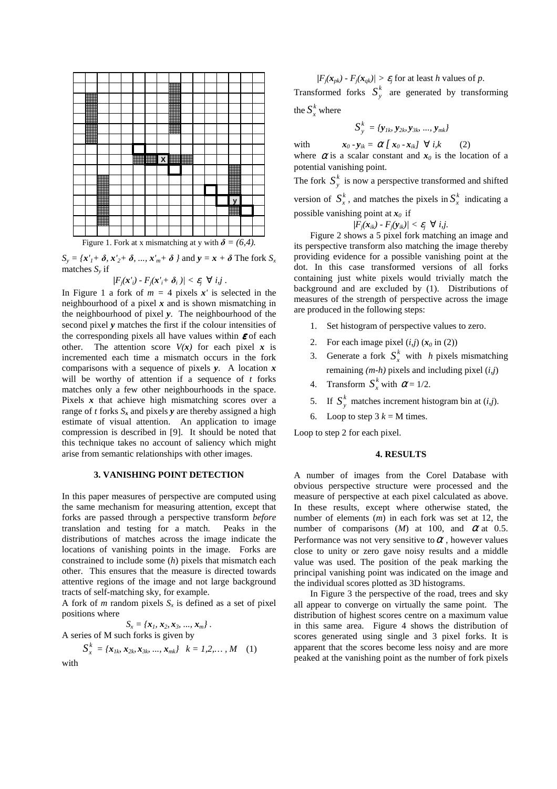

Figure 1. Fork at x mismatching at y with  $\delta = (6, 4)$ .

 $S_y = \{x'_1 + \delta, x'_2 + \delta, ..., x'_m + \delta\}$  and  $y = x + \delta$  The fork  $S_x$ matches *S<sup>y</sup>* if

$$
|F_j(x')\cdot F_j(x'+\delta_i)| < \varepsilon_j \ \forall \ i,j.
$$

In Figure 1 a fork of  $m = 4$  pixels  $x^r$  is selected in the neighbourhood of a pixel *x* and is shown mismatching in the neighbourhood of pixel *y*. The neighbourhood of the second pixel *y* matches the first if the colour intensities of the corresponding pixels all have values within  $\epsilon$  of each other. The attention score  $V(x)$  for each pixel x is incremented each time a mismatch occurs in the fork comparisons with a sequence of pixels *y*. A location *x* will be worthy of attention if a sequence of *t* forks matches only a few other neighbourhoods in the space. Pixels x that achieve high mismatching scores over a range of *t* forks *Sx* and pixels *y* are thereby assigned a high estimate of visual attention. An application to image compression is described in [9]. It should be noted that this technique takes no account of saliency which might arise from semantic relationships with other images.

### **3. VANISHING POINT DETECTION**

In this paper measures of perspective are computed using the same mechanism for measuring attention, except that forks are passed through a perspective transform *before* translation and testing for a match. Peaks in the distributions of matches across the image indicate the locations of vanishing points in the image. Forks are constrained to include some (*h*) pixels that mismatch each other. This ensures that the measure is directed towards attentive regions of the image and not large background tracts of self-matching sky, for example.

A fork of *m* random pixels  $S_x$  is defined as a set of pixel positions where

 $S_x = \{x_1, x_2, x_3, ..., x_m\}$ . A series of M such forks is given by

$$
S_x^k = \{x_{1k}, x_{2k}, x_{3k}, ..., x_{mk}\} \quad k = 1, 2, ..., M \quad (1)
$$

 $|F_j(x_{pk}) - F_j(x_{qk})| > \varepsilon_j$  for at least *h* values of *p*. Transformed forks  $S_y^k$  are generated by transforming

the  $S_x^k$  where

$$
S_{y}^{k} = \{y_{1k}, y_{2k}, y_{3k}, ..., y_{mk}\}
$$

with  $x_0 - y_{ik} = \alpha \left[ x_0 - x_{ik} \right] \ \forall \ i, k \qquad (2)$ where  $\alpha$  is a scalar constant and  $x_0$  is the location of a potential vanishing point.

The fork  $S_y^k$  is now a perspective transformed and shifted version of  $S_x^k$ , and matches the pixels in  $S_x^k$  indicating a possible vanishing point at *x0* if

$$
|F_j(\mathbf{x}_{ik}) - F_j(\mathbf{y}_{ik})| < \varepsilon_j \ \ \forall \ i,j.
$$

Figure 2 shows a 5 pixel fork matching an image and its perspective transform also matching the image thereby providing evidence for a possible vanishing point at the dot. In this case transformed versions of all forks containing just white pixels would trivially match the background and are excluded by (1). Distributions of measures of the strength of perspective across the image are produced in the following steps:

- 1. Set histogram of perspective values to zero.
- 2. For each image pixel  $(i,j)$   $(x_0$  in (2))
- 3. Generate a fork  $S_x^k$  with *h* pixels mismatching remaining *(m-h)* pixels and including pixel (*i,j*)
- 4. Transform  $S_x^k$  with  $\alpha = 1/2$ .
- 5. If  $S^k$  matches increment histogram bin at  $(i,j)$ .
- 6. Loop to step  $3 k = M$  times.

Loop to step 2 for each pixel.

#### **4. RESULTS**

A number of images from the Corel Database with obvious perspective structure were processed and the measure of perspective at each pixel calculated as above. In these results, except where otherwise stated, the number of elements (*m*) in each fork was set at 12, the number of comparisons  $(M)$  at 100, and  $\alpha$  at 0.5. Performance was not very sensitive to  $\alpha$ , however values close to unity or zero gave noisy results and a middle value was used. The position of the peak marking the principal vanishing point was indicated on the image and the individual scores plotted as 3D histograms.

In Figure 3 the perspective of the road, trees and sky all appear to converge on virtually the same point. The distribution of highest scores centre on a maximum value in this same area. Figure 4 shows the distribution of scores generated using single and 3 pixel forks. It is apparent that the scores become less noisy and are more peaked at the vanishing point as the number of fork pixels

with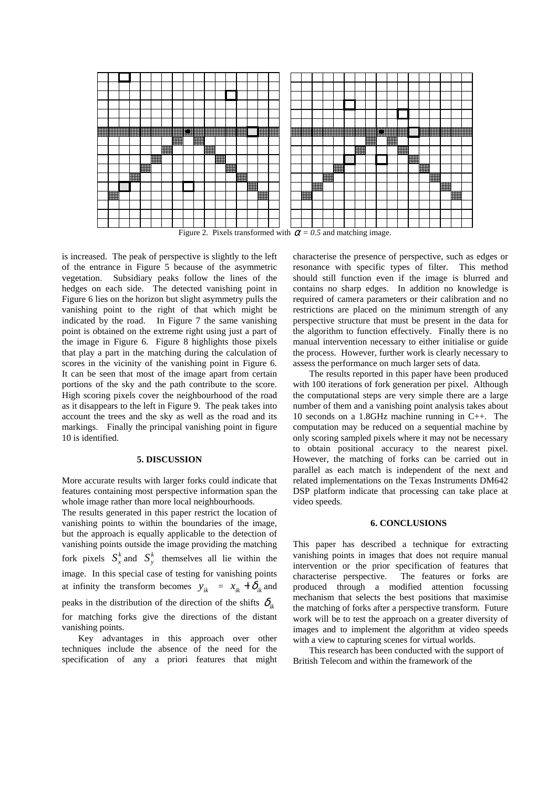

is increased. The peak of perspective is slightly to the left of the entrance in Figure 5 because of the asymmetric vegetation. Subsidiary peaks follow the lines of the hedges on each side. The detected vanishing point in Figure 6 lies on the horizon but slight asymmetry pulls the vanishing point to the right of that which might be indicated by the road. In Figure 7 the same vanishing point is obtained on the extreme right using just a part of the image in Figure 6. Figure 8 highlights those pixels that play a part in the matching during the calculation of scores in the vicinity of the vanishing point in Figure 6. It can be seen that most of the image apart from certain portions of the sky and the path contribute to the score. High scoring pixels cover the neighbourhood of the road as it disappears to the left in Figure 9. The peak takes into account the trees and the sky as well as the road and its markings. Finally the principal vanishing point in figure 10 is identified.

### **5. DISCUSSION**

More accurate results with larger forks could indicate that features containing most perspective information span the whole image rather than more local neighbourhoods.

The results generated in this paper restrict the location of vanishing points to within the boundaries of the image, but the approach is equally applicable to the detection of vanishing points outside the image providing the matching fork pixels  $S_x^k$  and  $S_y^k$  themselves all lie within the image. In this special case of testing for vanishing points at infinity the transform becomes  $y_{ik} = x_{ik} + \delta_{ik}$  and peaks in the distribution of the direction of the shifts  $\delta_{ik}$ for matching forks give the directions of the distant vanishing points.

Key advantages in this approach over other techniques include the absence of the need for the specification of any a priori features that might characterise the presence of perspective, such as edges or resonance with specific types of filter. This method should still function even if the image is blurred and contains no sharp edges. In addition no knowledge is required of camera parameters or their calibration and no restrictions are placed on the minimum strength of any perspective structure that must be present in the data for the algorithm to function effectively. Finally there is no manual intervention necessary to either initialise or guide the process. However, further work is clearly necessary to assess the performance on much larger sets of data.

The results reported in this paper have been produced with 100 iterations of fork generation per pixel. Although the computational steps are very simple there are a large number of them and a vanishing point analysis takes about 10 seconds on a 1.8GHz machine running in C++. The computation may be reduced on a sequential machine by only scoring sampled pixels where it may not be necessary to obtain positional accuracy to the nearest pixel. However, the matching of forks can be carried out in parallel as each match is independent of the next and related implementations on the Texas Instruments DM642 DSP platform indicate that processing can take place at video speeds.

#### **6. CONCLUSIONS**

This paper has described a technique for extracting vanishing points in images that does not require manual intervention or the prior specification of features that characterise perspective. The features or forks are produced through a modified attention focussing mechanism that selects the best positions that maximise the matching of forks after a perspective transform. Future work will be to test the approach on a greater diversity of images and to implement the algorithm at video speeds with a view to capturing scenes for virtual worlds.

This research has been conducted with the support of British Telecom and within the framework of the